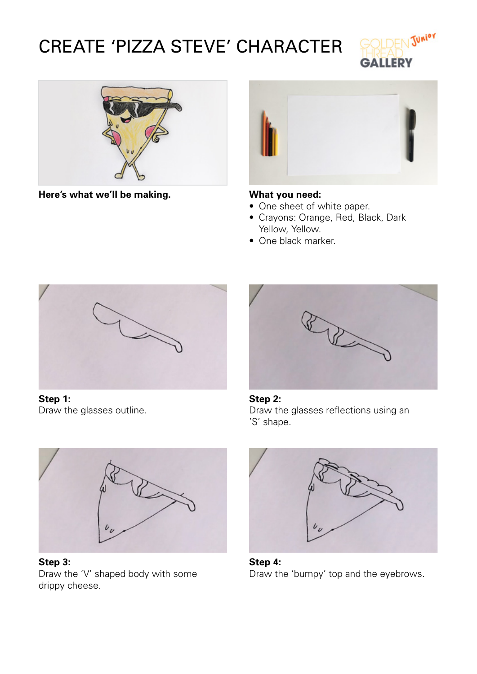# CREATE 'PIZZA STEVE' CHARACTER





**Here's what we'll be making. What you need:**



- One sheet of white paper.
- • Crayons: Orange, Red, Black, Dark Yellow, Yellow.
- One black marker.



**Step 1:** Draw the glasses outline.



**Step 2:** Draw the glasses reflections using an 'S' shape.



**Step 3:** Draw the 'V' shaped body with some drippy cheese.



**Step 4:** Draw the 'bumpy' top and the eyebrows.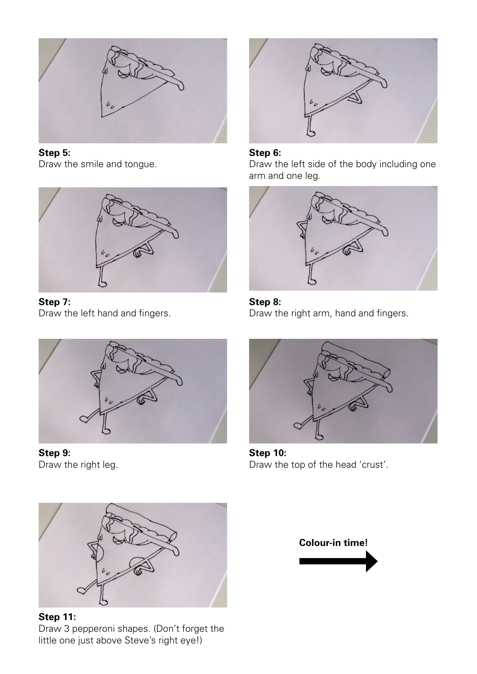

**Step 5:** Draw the smile and tongue.



**Step 7:** Draw the left hand and fingers.



**Step 9:** Draw the right leg.



**Step 11:** Draw 3 pepperoni shapes. (Don't forget the little one just above Steve's right eye!)



### **Step 6:**

Draw the left side of the body including one arm and one leg.



**Step 8:** Draw the right arm, hand and fingers.



**Step 10:** Draw the top of the head 'crust'.